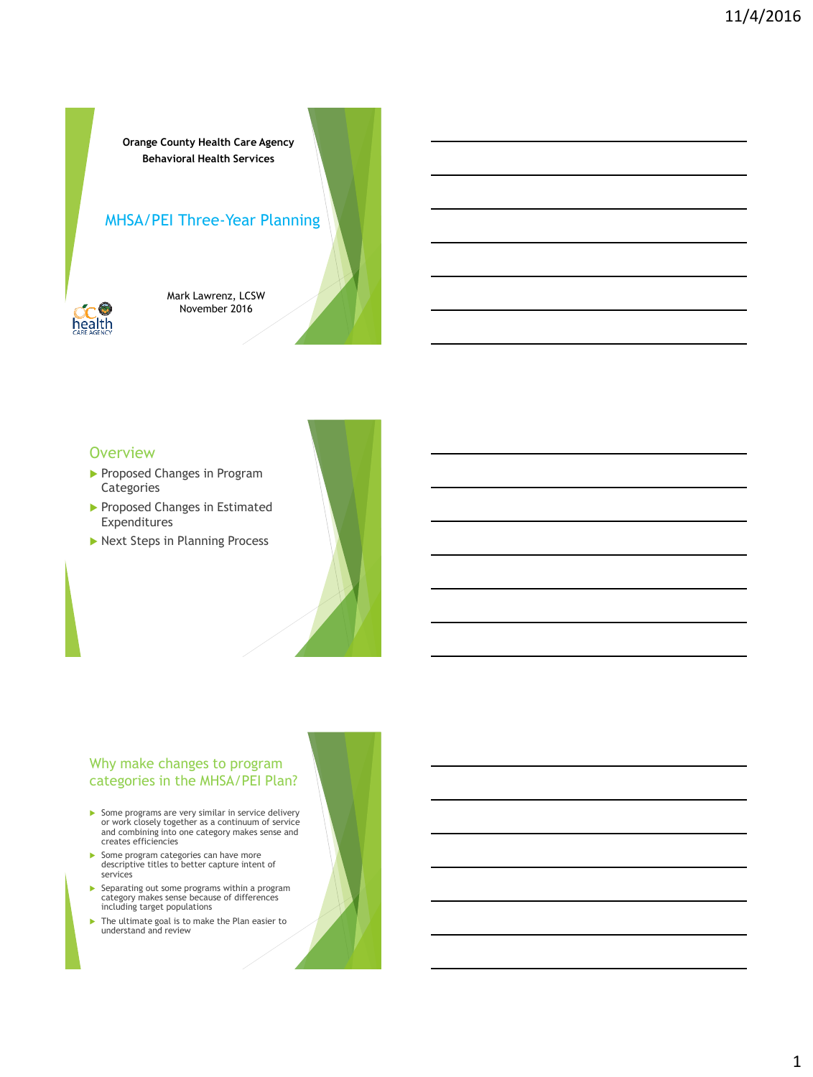**Orange County Health Care Agency Behavioral Health Services**

### MHSA/PEI Three-Year Planning



Mark Lawrenz, LCSW November 2016

### **Overview**

- Proposed Changes in Program Categories
- Proposed Changes in Estimated Expenditures
- ▶ Next Steps in Planning Process

# Why make changes to program categories in the MHSA/PEI Plan?

- Some programs are very similar in service delivery or work closely together as a continuum of service and combining into one category makes sense and creates efficiencies
- Some program categories can have more descriptive titles to better capture intent of services
- Separating out some programs within a program category makes sense because of differences including target populations
- The ultimate goal is to make the Plan easier to understand and review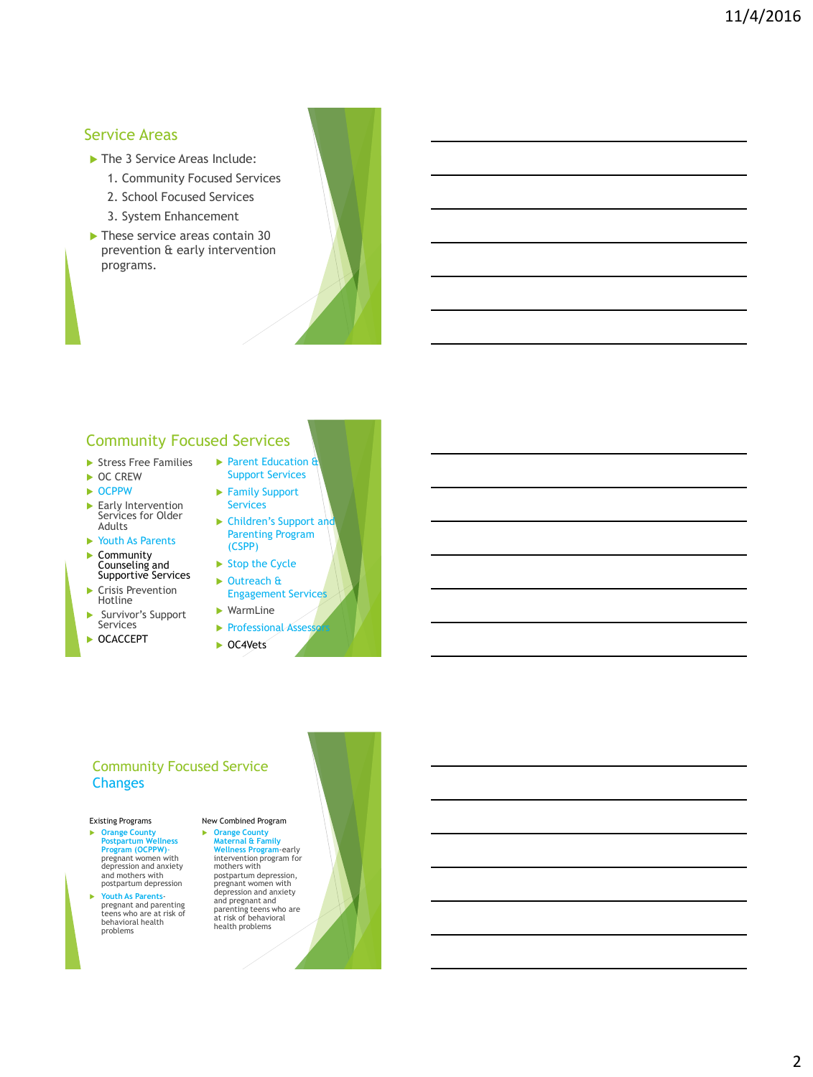# Service Areas

- The 3 Service Areas Include:
	- 1. Community Focused Services
	- 2. School Focused Services
	- 3. System Enhancement
- These service areas contain 30 prevention & early intervention programs.



# Community Focused Services

- Stress Free Families
- ▶ OC CREW
- $\triangleright$  OCPPW
- Early Intervention Services for Older Adults
- Youth As Parents
- ▶ Community
- Counseling and Supportive Services ▶ Crisis Prevention Hotline
- Survivor's Support Services
- ▶ **OCACCEPT**
- Parent Education & Support Services
- ▶ Family Support Services
- $\blacktriangleright$  Children's Support and Parenting Program (CSPP)
- $\triangleright$  Stop the Cycle
- ▶ Outreach & Engagement Services WarmLine
- **Professional Assess**
- ▶ OC4Vets

### Community Focused Service **Changes**

### Existing Programs

- **Orange County Postpartum Wellness Program (OCPPW)**- pregnant women with depression and anxiety and mothers with postpartum depression
- **Youth As Parents**-pregnant and parenting teens who are at risk of behavioral health problems

New Combined Program **Orange County Maternal & Family Wellness Program**-early intervention program for mothers with postpartum depression, pregnant women with depression and anxiety and pregnant and parenting teens who are at risk of behavioral health problems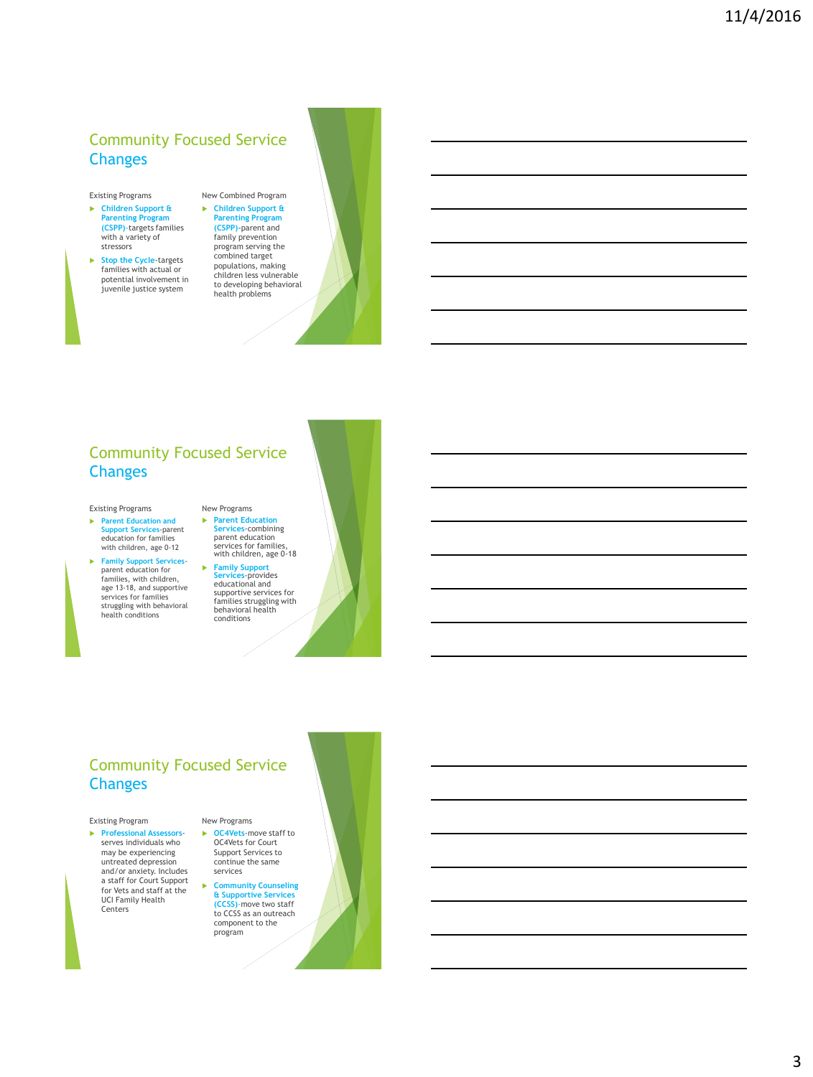# Community Focused Service **Changes**

#### Existing Programs

- **Children Support & Parenting Program (CSPP)**-targets families with a variety of stressors
- **Stop the Cycle**-targets families with actual or potential involvement in juvenile justice system



# Community Focused Service **Changes**

#### Existing Programs

- **Parent Education and Support Services**-parent education for families with children, age 0-12
- **Family Support Services**parent education for families, with children, age 13-18, and supportive services for families struggling with behavioral health conditions



 **Family Support Services**-provides educational and supportive services for families struggling with behavioral health conditions

# Community Focused Service **Changes**

#### Existing Program

 **Professional Assessors**serves individuals who may be experiencing untreated depression and/or anxiety. Includes a staff for Court Support for Vets and staff at the UCI Family Health Centers

New Programs **OC4Vets**-move staff to OC4Vets for Court Support Services to continue the same

services

 **Community Counseling & Supportive Services (CCSS)**-move two staff to CCSS as an outreach component to the program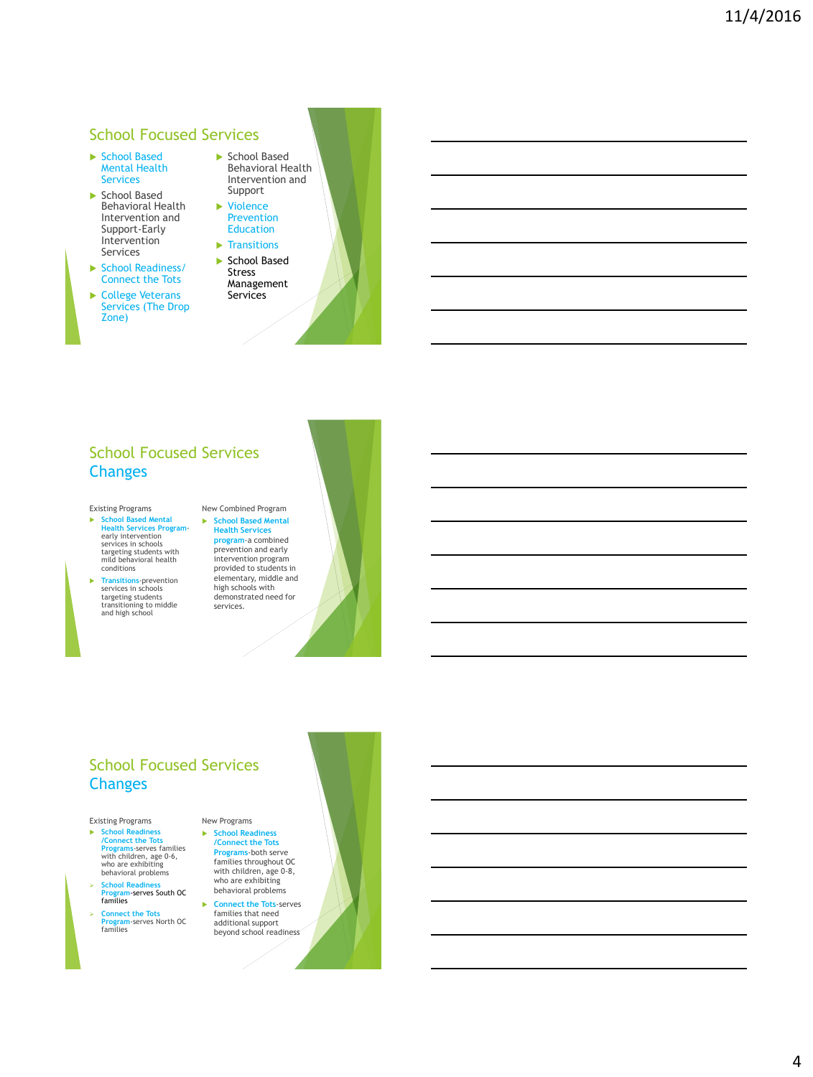# School Focused Services

- ▶ School Based Mental Health Services
- School Based Behavioral Health Intervention and Support-Early Intervention Services
- School Readiness/ Connect the Tots
- College Veterans Services (The Drop Zone)

▶ School Based Behavioral Health Intervention and Support

- ▶ Violence Prevention Education
- $\blacktriangleright$  Transitions School Based
- Stress Management Services

# School Focused Services **Changes**

#### Existing Programs

- **School Based Mental Health Services Program**-early intervention services in schools targeting students with mild behavioral health conditions
- **Transitions**-prevention services in schools targeting students transitioning to middle and high school

#### New Combined Program **School Based Mental Health Services program**-a combined prevention and early intervention program provided to students in elementary, middle and high schools with demonstrated need for services.

# School Focused Services **Changes**

#### Existing Programs

- **School Readiness /Connect the Tots Programs**-serves families with children, age 0-6, who are exhibiting behavioral problems
- **School Readiness Program-**serves South OC families
- **Connect the Tots Program**-serves North OC families

New Programs **School Readiness /Connect the Tots Programs**-both serve families throughout OC with children, age 0-8, who are exhibiting behavioral problems

 **Connect the Tots**-serves families that need additional support beyond school readiness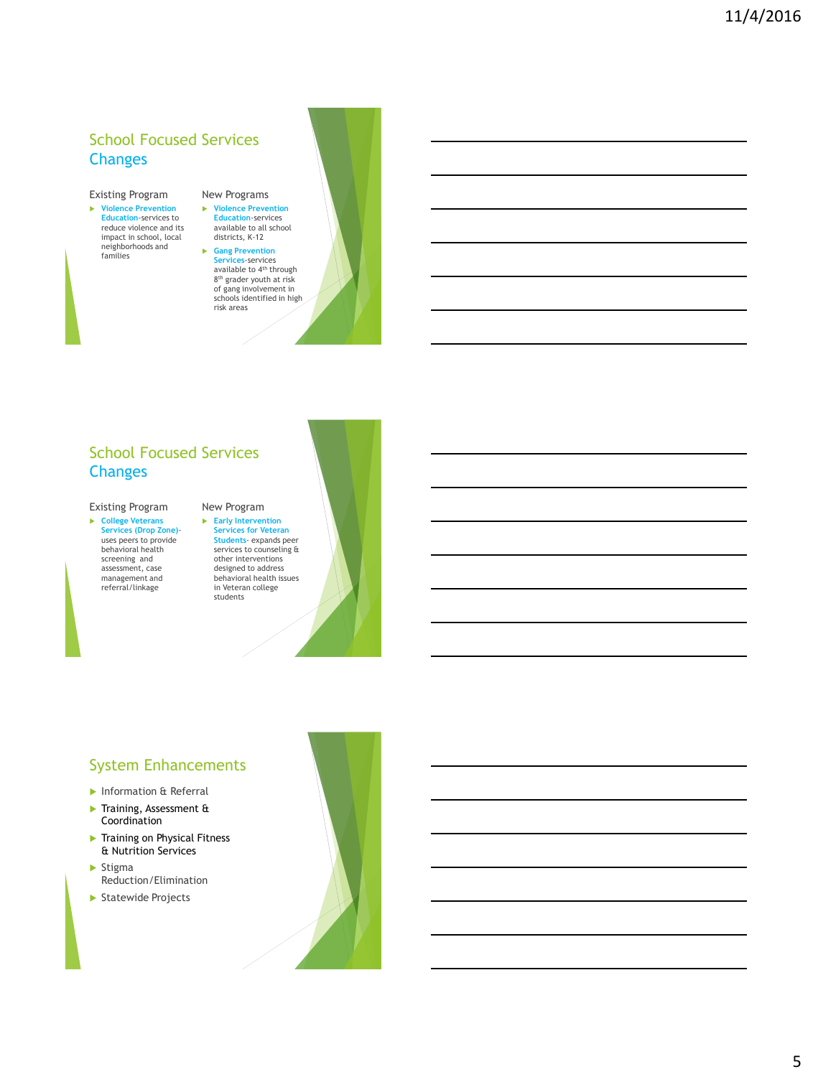# School Focused Services **Changes**

### Existing Program

 **Violence Prevention Education**-services to reduce violence and its impact in school, local neighborhoods and families

New Programs **Violence Prevention Education**-services available to all school districts, K-12

 **Gang Prevention**  Services-services<br>available to 4<sup>th</sup> through 8 th grader youth at risk of gang involvement in schools identified in high risk areas

# School Focused Services **Changes**

### Existing Program

 **College Veterans Services (Drop Zone)** uses peers to provide behavioral health screening and assessment, case management and referral/linkage

# New Program

 **Early Intervention Services for Veteran Students**- expands peer services to counseling & other interventions designed to address behavioral health issues in Veteran college students

# System Enhancements

- **Information & Referral**
- Training, Assessment & Coordination
- **Training on Physical Fitness** & Nutrition Services
- $\blacktriangleright$  Stigma Reduction/Elimination
- Statewide Projects

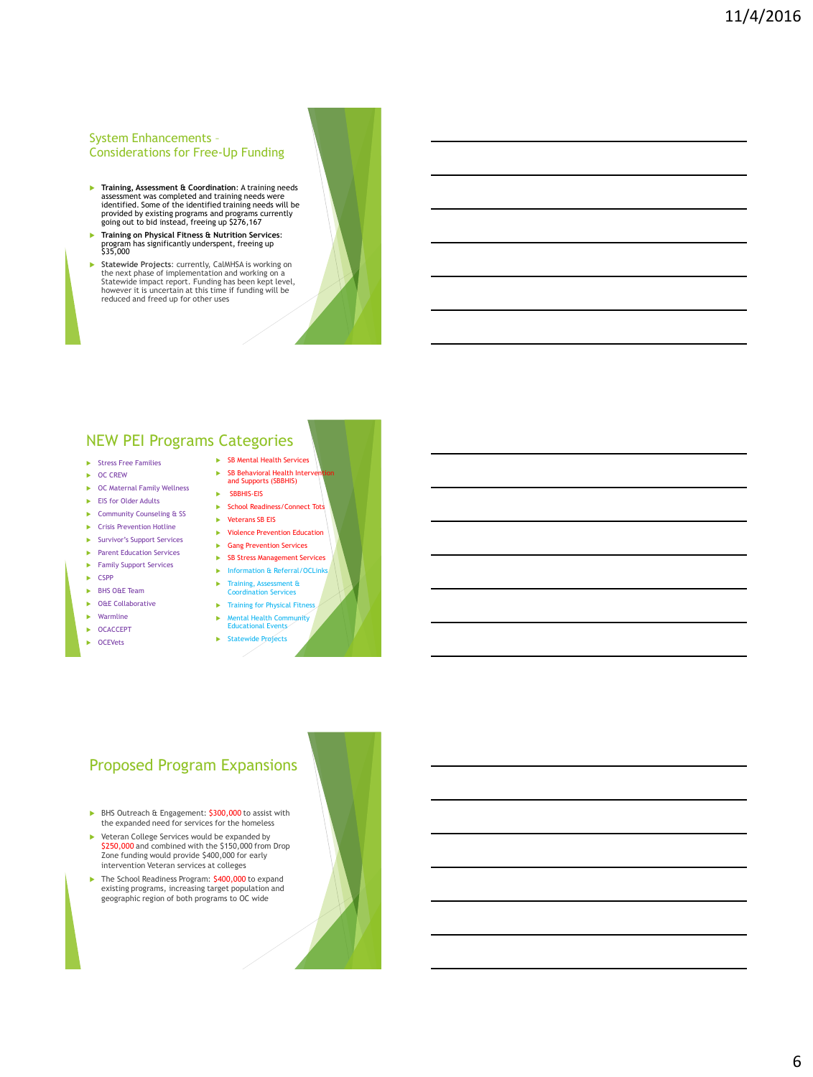### System Enhancements – Considerations for Free-Up Funding

- **Training, Assessment & Coordination**: A training needs assessment was completed and training needs were identified. Some of the identified training needs will be provided by existing programs and programs currently going out to bid instead, freeing up \$276,167
- **Training on Physical Fitness & Nutrition Services**: program has significantly underspent, freeing up \$35,000
- **Statewide Projects**: currently, CalMHSA is working on the next phase of implementation and working on a Statewide impact report. Funding has been kept level, however it is uncertain at this time if funding will be reduced and freed up for other uses

# NEW PEI Programs Categories

- $\blacktriangleright$  Stress Free Families
- $\triangleright$  OC CREW
- ▶ OC Maternal Family Wellness
- ► EIS for Older Adults
- ▶ Community Counseling & SS
- $\blacktriangleright$  Crisis Prevention Hotline
- Survivor's Support Services
- **Parent Education Services**
- **Family Support Services**
- $\blacktriangleright$  CSPP
- BHS O&E Team
- ▶ O&E Collaborative
- $\blacktriangleright$  Warmline
- ▶ OCACCEPT
- $\triangleright$  OCEVets
- SB Mental Health Services
- SB Behavioral Health Intervention and Supports (SBBHIS)
- **SBBHIS-FIS** ▶ School Readiness/Connect Tots
- 
- - **EXECUTE:** Violence Prevention Education
		- Gang Prevention Services
			- SB Stress Management Services
				- **Information & Referral/OCLinks** 
					- **Training, Assessment &** Coordination Services
					- **F** Training for Physical Fitness
				-
				- Mental Health Community Educational Events

**Veterans SB EIS** 

 $\blacktriangleright$  Statewide Projects

### Proposed Program Expansions

- ▶ BHS Outreach & Engagement: \$300,000 to assist with the expanded need for services for the homeless
- ▶ Veteran College Services would be expanded by \$250,000 and combined with the \$150,000 from Drop Zone funding would provide \$400,000 for early intervention Veteran services at colleges
- The School Readiness Program: \$400,000 to expand existing programs, increasing target population and geographic region of both programs to OC wide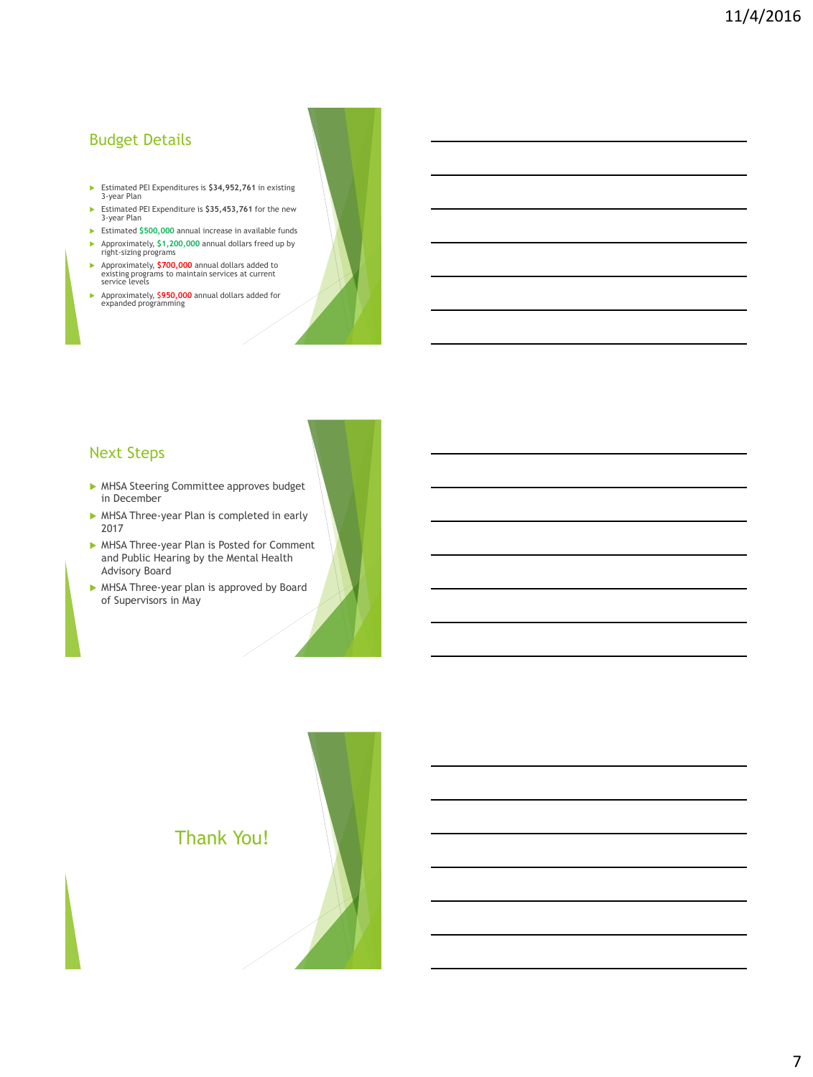# Budget Details

- Estimated PEI Expenditures is **\$34,952,761** in existing 3-year Plan
- Estimated PEI Expenditure is **\$35,453,761** for the new 3-year Plan
- Estimated **\$500,000** annual increase in available funds Approximately, **\$1,200,000** annual dollars freed up by right-sizing programs
- Approximately, **\$700,000** annual dollars added to existing programs to maintain services at current service levels
- Approximately, \$**950,000** annual dollars added for expanded programming

# Next Steps

- MHSA Steering Committee approves budget in December
- MHSA Three-year Plan is completed in early 2017
- MHSA Three-year Plan is Posted for Comment and Public Hearing by the Mental Health Advisory Board
- MHSA Three-year plan is approved by Board of Supervisors in May

# Thank You!